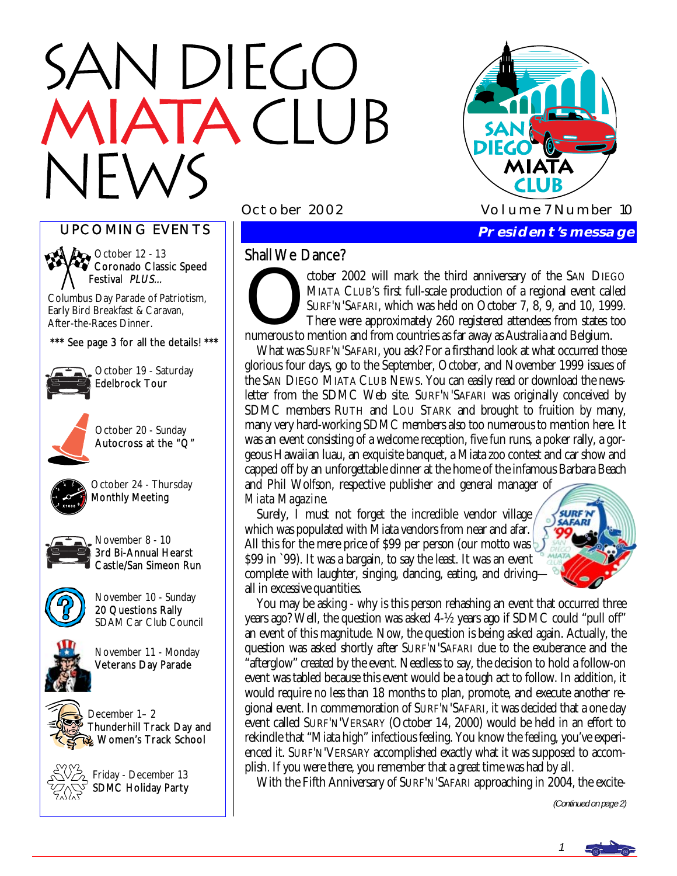# N DIEGO TACIUB



UPCOMING EVENTS



**Ago** October 12 - 13 Coronado Classic Speed Festival PLUS...

Columbus Day Parade of Patriotism, Early Bird Breakfast & Caravan, After-the-Races Dinner.

\*\*\* See page 3 for all the details! \*\*\*



October 19 - Saturday Edelbrock Tour



October 20 - Sunday Autocross at the "Q"



October 24 - Thursday Monthly Meeting



November 8 - 10 3rd Bi-Annual Hearst Castle/San Simeon Run



November 10 - Sunday 20 Questions Rally SDAM Car Club Council



November 11 - Monday Veterans Day Parade



December 1– 2 Thunderhill Track Day and Women's Track School



Friday - December 13 SDMC Holiday Party

# Shall We Dance?

Shall We Dance?<br>
ctober 2002 will mark the third anniversary of the SAN DIEGO<br>
MIATA CLUB'S first full-scale production of a regional event called<br>
SURF'N'SAFARI, which was held on October 7, 8, 9, and 10, 1999.<br>
There wer MIATA CLUB'S first full-scale production of a regional event called SURF'N'SAFARI, which was held on October 7, 8, 9, and 10, 1999. There were approximately 260 registered attendees from states too numerous to mention and from countries as far away as Australia and Belgium.

 What was SURF'N'SAFARI, you ask? For a firsthand look at what occurred those glorious four days, go to the September, October, and November 1999 issues of the SAN DIEGO MIATA CLUB NEWS. You can easily read or download the newsletter from the SDMC Web site. SURF'N'SAFARI was originally conceived by SDMC members RUTH and LOU STARK and brought to fruition by many, many very hard-working SDMC members also too numerous to mention here. It was an event consisting of a welcome reception, five fun runs, a poker rally, a gorgeous Hawaiian luau, an exquisite banquet, a Miata zoo contest and car show and capped off by an unforgettable dinner at the home of the infamous Barbara Beach and Phil Wolfson, respective publisher and general manager of *Miata Magazine*.

 Surely, I must not forget the incredible vendor village which was populated with Miata vendors from near and afar. All this for the mere price of \$99 per person (our motto was \$99 in `99). It was a bargain, to say the least. It was an event complete with laughter, singing, dancing, eating, and driving all in excessive quantities.



 You may be asking - why is this person rehashing an event that occurred three years ago? Well, the question was asked 4-½ years ago if SDMC could "pull off" an event of this magnitude. Now, the question is being asked again. Actually, the question was asked shortly after SURF'N'SAFARI due to the exuberance and the "afterglow" created by the event. Needless to say, the decision to hold a follow-on event was tabled because this event would be a tough act to follow. In addition, it would require *no less* than 18 months to plan, promote, and execute another regional event. In commemoration of SURF'N'SAFARI, it was decided that a one day event called SURF'N'VERSARY (October 14, 2000) would be held in an effort to rekindle that "Miata high" infectious feeling. You know the feeling, you've experienced it. SURF'N'VERSARY accomplished exactly what it was supposed to accomplish. If you were there, you remember that a great time was had by all.

With the Fifth Anniversary of SURF'N'SAFARI approaching in 2004, the excite-

(Continued on page 2)

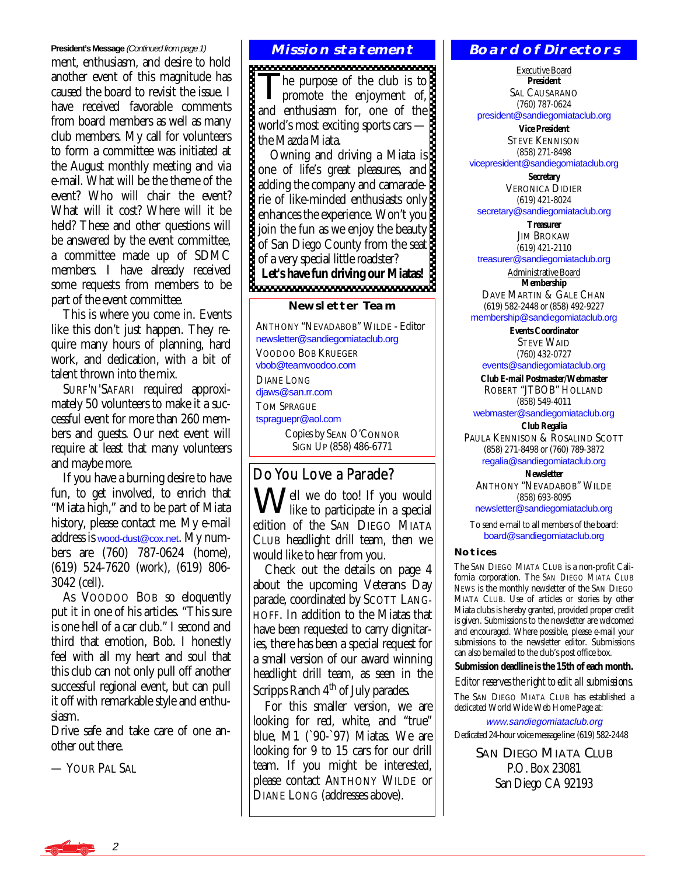#### **President's Message** (Continued from page 1)

ment, enthusiasm, and desire to hold another event of this magnitude has caused the board to revisit the issue. I have received favorable comments from board members as well as many club members. My call for volunteers to form a committee was initiated at the August monthly meeting and via e-mail. What will be the theme of the event? Who will chair the event? What will it cost? Where will it be held? These and other questions will be answered by the event committee, a committee made up of SDMC members. I have already received some requests from members to be part of the event committee.

 This is where you come in. Events like this don't just happen. They require many hours of planning, hard work, and dedication, with a bit of talent thrown into the mix.

 SURF'N'SAFARI required approximately 50 volunteers to make it a successful event for more than 260 members and guests. Our next event will require at least that many volunteers and maybe more.

 If you have a burning desire to have fun, to get involved, to enrich that "Miata high," and to be part of Miata history, please contact me. My e-mail address is [wood-dust@cox.net](mailto:wood-dust@cox.net). My numbers are (760) 787-0624 (home), (619) 524-7620 (work), (619) 806- 3042 (cell).

 As VOODOO BOB so eloquently put it in one of his articles. "This sure is one hell of a car club." I second and third that emotion, Bob. I honestly feel with all my heart and soul that this club can not only pull off another successful regional event, but can pull it off with remarkable style and enthusiasm.

Drive safe and take care of one another out there.

— YOUR PAL SAL

# **Mission statement**

The purpose of the club is to<br>promote the enjoyment of, and enthusiasm for, one of the world's most exciting sports cars world's most exciting sports cars —

 Owning and driving a Miata is one of life's great pleasures, and adding the company and camaraderie of like-minded enthusiasts only enhances the experience. Won't you join the fun as we enjoy the beauty of San Diego County from the seat of a very special little roadster? Let's have fun driving our *ivenue.* 

#### **Newsletter Team**

ANTHONY "NEVADABOB" WILDE - Editor [newsletter@sandiegomiataclub.org](mailto:newsletter@sandiegomiataclub.org)  VOODOO BOB KRUEGER [vbob@teamvoodoo.com](mailto:vbob@teamvoodoo.com)  DIANE LONG diaws@san.rr.com TOM SPRAGUE [tspraguepr@aol.com](mailto:tspraguepr@aol.com)  Copies by SEAN O'CONNOR SIGN UP (858) 486-6771

# Do You Love a Parade?

Well we do too! If you would like to participate in a special edition of the SAN DIEGO MIATA CLUB headlight drill team, then we would like to hear from you.

 Check out the details on page 4 about the upcoming Veterans Day parade, coordinated by SCOTT LANG-HOFF. In addition to the Miatas that have been requested to carry dignitaries, there has been a special request for a small version of our award winning headlight drill team, as seen in the Scripps Ranch  $4<sup>th</sup>$  of July parades.

 For this smaller version, we are looking for red, white, and "true" blue, M1 (`90-`97) Miatas. We are looking for 9 to 15 cars for our drill team. If you might be interested, please contact ANTHONY WILDE or DIANE LONG (addresses above).

#### **Board of Directors**

Executive Board **President**  SAL CAUSARANO (760) 787-0624

[president@sandiegomiataclub.org](mailto:president@sandiegomiataclub.org) 

**Vice President**  STEVE KENNISON (858) 271-8498 [vicepresident@sandiegomiataclub.org](mailto:vicepresident@sandiegomiataclub.org) 

> **Secretary**  VERONICA DIDIER (619) 421-8024

[secretary@sandiegomiataclub.org](mailto:secretary@sandiegomiataclub.org) 

**Treasurer**  JIM BROKAW (619) 421-2110

[treasurer@sandiegomiataclub.org](mailto:treasurer@sandiegomiataclub.org) 

Administrative Board **Membership** 

DAVE MARTIN & GALE CHAN (619) 582-2448 or (858) 492-9227

[membership@sandiegomiataclub.org](mailto:membership@sandiegomiataclub.org)  **Events Coordinator** 

STEVE WAID (760) 432-0727

[events@sandiegomiataclub.org](mailto:events@sandiegomiataclub.org) 

**Club E-mail Postmaster/Webmaster**  ROBERT "JTBOB" HOLLAND (858) 549-4011

[webmaster@sandiegomiataclub.org](mailto:webmaster@sandiegomiataclub.org) 

**Club Regalia**  PAULA KENNISON & ROSALIND SCOTT (858) 271-8498 or (760) 789-3872 [regalia@sandiegomiataclub.org](mailto:regalia@sandiegomiataclub.org) 

**Newsletter**  ANTHONY "NEVADABOB" WILDE (858) 693-8095 [newsletter@sandiegomiataclub.org](mailto:newsletter@sandiegomiataclub.org) 

To send e-mail to all members of the board: [board@sandiegomiataclub.org](mailto:board@sandiegomiataclub.org) 

#### **Notices**

The SAN DIEGO MIATA CLUB is a non-profit California corporation. The *SAN DIEGO MIATA CLUB NEWS* is the monthly newsletter of the SAN DIEGO MIATA CLUB. Use of articles or stories by other Miata clubs is hereby granted, provided proper credit is given. Submissions to the newsletter are welcomed and encouraged. Where possible, please e-mail your submissions to the newsletter editor. Submissions can also be mailed to the club's post office box.

**Submission deadline is the 15th of each month.** 

*Editor reserves the right to edit all submissions.*

The SAN DIEGO MIATA CLUB has established a dedicated World Wide Web Home Page at:

[www.sandiegomiataclub.org](http://www.sandiegomiataclub.org)  Dedicated 24-hour voice message line: (619) 582-2448

> **SAN DIEGO MIATA CLUB** P.O. Box 23081 San Diego CA 92193

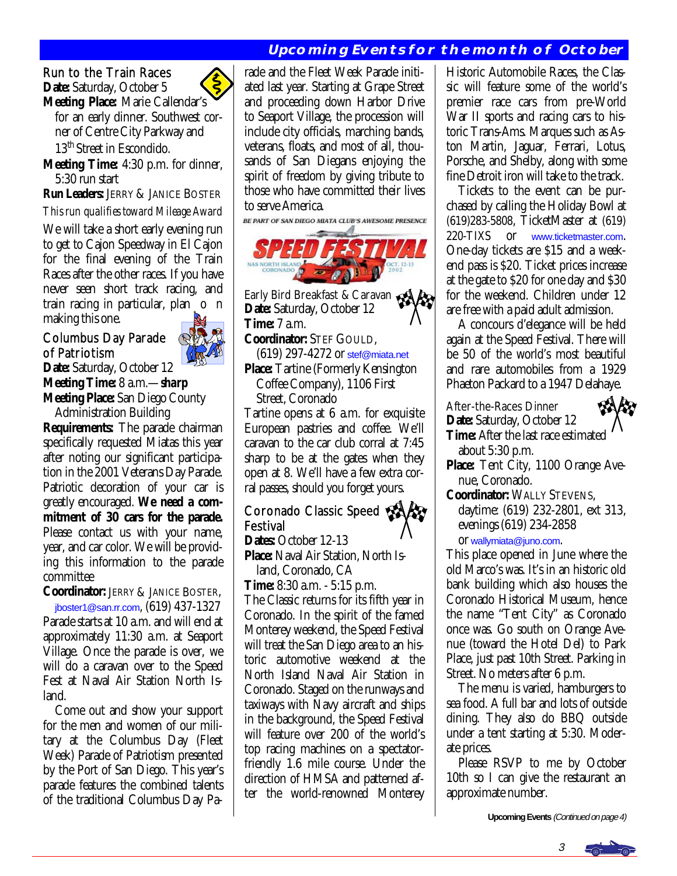# **Upcoming Events for the month of October**

# Run to the Train Races

**Date:** Saturday, October 5

**Meeting Place:** Marie Callendar's for an early dinner. Southwest cor ner of Centre City Parkway and 13<sup>th</sup> Street in Escondido.

**Meeting Time:** 4:30 p.m. for dinner, 5:30 run start

**Run Leaders:** JERRY & JANICE BOSTER

*This run qualifies toward Mileage Award* 

We will take a short early evening run to get to Cajon Speedway in El Cajon for the final evening of the Train Races after the other races. If you have never seen short track racing, and train racing in particular, plan o n making this one.

#### Columbus Day Parade of Patriotism



**Date:** Saturday, October 12 **Meeting Time:** 8 a.m.—*sharp* **Meeting Place:** San Diego County Administration Building

**Requirements:** The parade chairman specifically requested Miatas this year after noting our significant participation in the 2001 Veterans Day Parade. Patriotic decoration of your car is greatly encouraged. **We need a commitment of 30 cars for the parade.**  Please contact us with your name, year, and car color. We will be providing this information to the parade committee

**Coordinator:** JERRY & JANICE BOSTER, [jboster1@san.rr.com](mailto:jboster1@san.rr.com), (619) 437-1327 Parade starts at 10 a.m. and will end at approximately 11:30 a.m. at Seaport

Village. Once the parade is over, we will do a caravan over to the Speed Fest at Naval Air Station North Island.

 Come out and show your support for the men and women of our military at the Columbus Day (Fleet Week) Parade of Patriotism presented by the Port of San Diego. This year's parade features the combined talents of the traditional Columbus Day Parade and the Fleet Week Parade initiated last year. Starting at Grape Street and proceeding down Harbor Drive to Seaport Village, the procession will include city officials, marching bands, veterans, floats, and most of all, thousands of San Diegans enjoying the spirit of freedom by giving tribute to those who have committed their lives to serve America.

BE PART OF SAN DIEGO MIATA CLUB'S AWESOME PRESENCE



Early Bird Breakfast & Caravan **Date:** Saturday, October 12 **Time:** 7 a.m.

**Coordinator:** STEF GOULD,

 (619) 297-4272 or [stef@miata.net](mailto:stef@miata.net) **Place:** Tartine (Formerly Kensington

Coffee Company), 1106 First

Street, Coronado

Tartine opens at 6 a.m. for exquisite European pastries and coffee. We'll caravan to the car club corral at 7:45 sharp to be at the gates when they open at 8. We'll have a few extra corral passes, should you forget yours. Ī

#### **Coronado Classic Speed &** Festival **Dates:** October 12-13

**Place:** Naval Air Station, North Is land, Coronado, CA

**Time:** 8:30 a.m. - 5:15 p.m.

The Classic returns for its fifth year in Coronado. In the spirit of the famed Monterey weekend, the Speed Festival will treat the San Diego area to an historic automotive weekend at the North Island Naval Air Station in Coronado. Staged on the runways and taxiways with Navy aircraft and ships in the background, the Speed Festival will feature over 200 of the world's top racing machines on a spectatorfriendly 1.6 mile course. Under the direction of HMSA and patterned after the world-renowned Monterey

Historic Automobile Races, the Classic will feature some of the world's premier race cars from pre-World War II sports and racing cars to historic Trans-Ams. Marques such as Aston Martin, Jaguar, Ferrari, Lotus, Porsche, and Shelby, along with some fine Detroit iron will take to the track.

 Tickets to the event can be purchased by calling the Holiday Bowl at (619)283-5808, TicketMaster at (619) 220-TIXS or [www.ticketmaster.com](http://www.ticketmaster.com). One-day tickets are \$15 and a weekend pass is \$20. Ticket prices increase at the gate to \$20 for one day and \$30 for the weekend. Children under 12 are free with a paid adult admission.

 A concours d'elegance will be held again at the Speed Festival. There will be 50 of the world's most beautiful and rare automobiles from a 1929 Phaeton Packard to a 1947 Delahaye.

After-the-Races Dinner **Date:** Saturday, October 12

**Time:** After the last race estimated about 5:30 p.m.

Place: Tent City, 1100 Orange Avenue, Coronado.

**Coordinator:** WALLY STEVENS, daytime: (619) 232-2801, ext 313, evenings (619) 234-2858

or [wallymiata@juno.com](mailto:wallymiata@juno.com).

This place opened in June where the old Marco's was. It's in an historic old bank building which also houses the Coronado Historical Museum, hence the name "Tent City" as Coronado once was. Go south on Orange Avenue (toward the Hotel Del) to Park Place, just past 10th Street. Parking in Street. No meters after 6 p.m.

 The menu is varied, hamburgers to sea food. A full bar and lots of outside dining. They also do BBQ outside under a tent starting at 5:30. Moderate prices.

 Please RSVP to me by October 10th so I can give the restaurant an approximate number.

**Upcoming Events** (Continued on page 4)

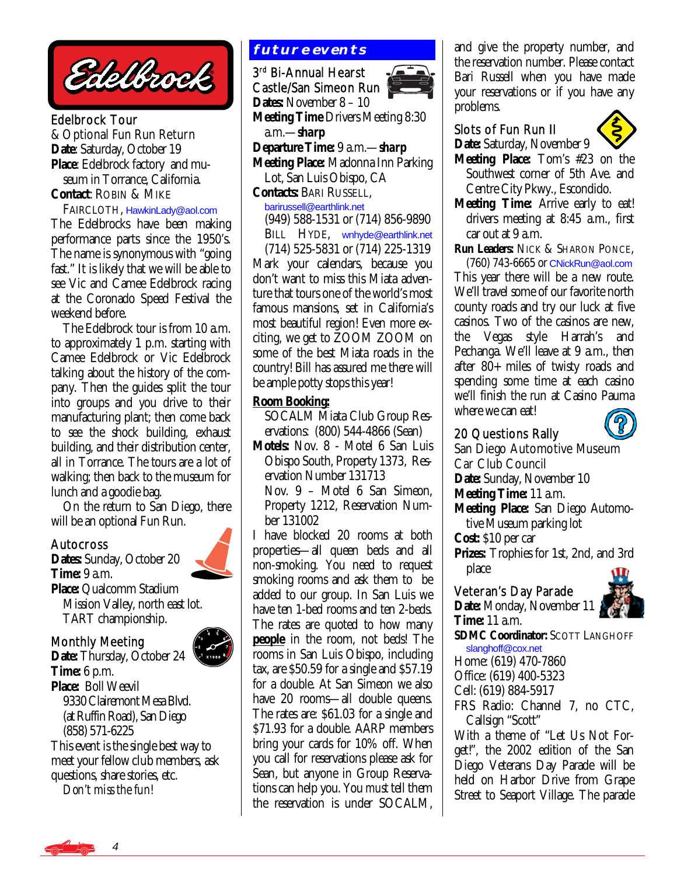Edelbrock

Edelbrock Tour & Optional Fun Run Return **Date**: Saturday, October 19 **Place**: Edelbrock factory and mu seum in Torrance, California. **Contact**: ROBIN & MIKE

#### FAIRCLOTH, [HawkinLady@aol.com](mailto:HawkinLady@aol.com)

The Edelbrocks have been making performance parts since the 1950's. The name is synonymous with "going fast." It is likely that we will be able to see Vic and Camee Edelbrock racing at the Coronado Speed Festival the weekend before.

 The Edelbrock tour is from 10 a.m. to approximately 1 p.m. starting with Camee Edelbrock or Vic Edelbrock talking about the history of the company. Then the guides split the tour into groups and you drive to their manufacturing plant; then come back to see the shock building, exhaust building, and their distribution center, all in Torrance. The tours are a lot of walking; then back to the museum for lunch and a goodie bag.

 On the return to San Diego, there will be an optional Fun Run.

#### Autocross

**Dates:** Sunday, October 20 **Time:** 9 a.m. **Place:** Qualcomm Stadium Mission Valley, north east lot. TART championship.

# Monthly Meeting



**Date:** Thursday, October 24 **Time:** 6 p.m. **Place:** Boll Weevil 9330 Clairemont Mesa Blvd. (at Ruffin Road), San Diego (858) 571-6225 This event is the single best way to meet your fellow club members, ask questions, share stories, etc.

*Don't miss the fun!*

# **future events**

3rd Bi-Annual Hearst Castle/San Simeon Run **Dates:** November 8 – 10 **Meeting Time** Drivers Meeting 8:30 a.m.—*sharp*  **Departure Time:** 9 a.m.—*sharp* **Meeting Place:** Madonna Inn Parking Lot, San Luis Obispo, CA **Contacts:** BARI RUSSELL, [barirussell@earthlink.net](mailto:barirussell@earthlink.net)  (949) 588-1531 or (714) 856-9890 BILL HYDE, [wnhyde@earthlink.net](mailto:wnhyde@earthlink.net)  (714) 525-5831 or (714) 225-1319 Mark your calendars, because you don't want to miss this Miata adventure that tours one of the world's most famous mansions, set in California's most beautiful region! Even more exciting, we get to ZOOM ZOOM on some of the best Miata roads in the country! Bill has assured me there will be ample potty stops this year!

#### **Room Booking:**

 SOCALM Miata Club Group Res ervations: (800) 544-4866 (Sean)

**Motels:** Nov. 8 - Motel 6 San Luis Obispo South, Property 1373, Res ervation Number 131713 Nov. 9 – Motel 6 San Simeon, Property 1212, Reservation Num ber 131002

I have blocked 20 rooms at both properties—all queen beds and all non-smoking. You need to request smoking rooms and ask them to be added to our group. In San Luis we have ten 1-bed rooms and ten 2-beds. The rates are quoted to how many **people** in the room, not beds! The rooms in San Luis Obispo, including tax, are \$50.59 for a single and \$57.19 for a double. At San Simeon we also have 20 rooms—all double queens. The rates are: \$61.03 for a single and \$71.93 for a double. AARP members bring your cards for 10% off. When you call for reservations please ask for Sean, but anyone in Group Reservations can help you. You *must* tell them the reservation is under SOCALM, and give the property number, and the reservation number. Please contact Bari Russell when you have made your reservations or if you have any problems.

#### Slots of Fun Run II **Date:** Saturday, November 9



**Meeting Place:** Tom's #23 on the Southwest corner of 5th Ave. and Centre City Pkwy., Escondido.

**Meeting Time:** Arrive early to eat! drivers meeting at 8:45 a.m., first car out at 9 a.m.

**Run Leaders:** NICK & SHARON PONCE,

 (760) 743-6665 or [CNickRun@aol.com](mailto:CNickRun@aol.com) This year there will be a new route. We'll travel some of our favorite north county roads and try our luck at five casinos. Two of the casinos are new, the Vegas style Harrah's and Pechanga. We'll leave at 9 a.m., then after 80+ miles of twisty roads and spending some time at each casino we'll finish the run at Casino Pauma where we can eat!



San Diego Automotive Museum Car Club Council **Date:** Sunday, November 10 **Meeting Time:** 11 a.m. **Meeting Place:** San Diego Automo tive Museum parking lot **Cost:** \$10 per car **Prizes:** Trophies for 1st, 2nd, and 3rd place

#### Veteran's Day Parade

**Date:** Monday, November 11 **Time:** 11 a.m.



**SDMC Coordinator:** SCOTT LANGHOFF [slanghoff@cox.net](mailto:slanghoff@cox.net)

Home: (619) 470-7860

Office: (619) 400-5323

Cell: (619) 884-5917

FRS Radio: Channel 7, no CTC, Callsign "Scott"

With a theme of "Let Us Not Forget!", the 2002 edition of the San Diego Veterans Day Parade will be held on Harbor Drive from Grape Street to Seaport Village. The parade

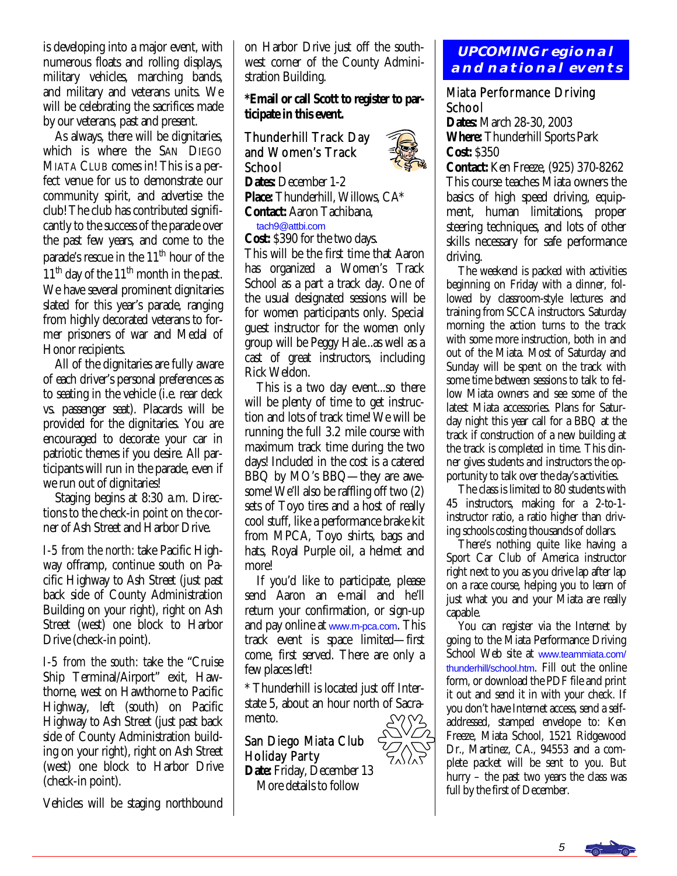is developing into a major event, with numerous floats and rolling displays, military vehicles, marching bands, and military and veterans units. We will be celebrating the sacrifices made by our veterans, past and present.

 As always, there will be dignitaries, which is where the SAN DIEGO MIATA CLUB comes in! This is a perfect venue for us to demonstrate our community spirit, and advertise the club! The club has contributed significantly to the success of the parade over the past few years, and come to the parade's rescue in the  $11<sup>th</sup>$  hour of the  $11<sup>th</sup>$  day of the  $11<sup>th</sup>$  month in the past. We have several prominent dignitaries slated for this year's parade, ranging from highly decorated veterans to former prisoners of war and Medal of Honor recipients.

 All of the dignitaries are fully aware of each driver's personal preferences as to seating in the vehicle (i.e. rear deck vs. passenger seat). Placards will be provided for the dignitaries. You are encouraged to decorate your car in patriotic themes if you desire. All participants will run in the parade, even if we run out of dignitaries!

 Staging begins at 8:30 a.m. Directions to the check-in point on the corner of Ash Street and Harbor Drive.

*I-5 from the north:* take Pacific Highway offramp, continue south on Pacific Highway to Ash Street (just past back side of County Administration Building on your right), right on Ash Street (west) one block to Harbor Drive (check-in point).

*I-5 from the south:* take the "Cruise Ship Terminal/Airport" exit, Hawthorne, west on Hawthorne to Pacific Highway, left (south) on Pacific Highway to Ash Street (just past back side of County Administration building on your right), right on Ash Street (west) one block to Harbor Drive (check-in point).

Vehicles will be staging northbound

on Harbor Drive just off the southwest corner of the County Administration Building.

**\*Email or call Scott to register to participate in this event.** 

Thunderhill Track Day and Women's Track School **Dates:** December 1-2

**Place:** Thunderhill, Willows, CA\* **Contact:** Aaron Tachibana,

[tach9@attbi.com](mailto:tach9@attbi.com)

**Cost:** \$390 for the two days.

This will be the first time that Aaron has organized a Women's Track School as a part a track day. One of the usual designated sessions will be for women participants only. Special guest instructor for the women only group will be Peggy Hale...as well as a cast of great instructors, including Rick Weldon.

 This is a two day event...so there will be plenty of time to get instruction and lots of track time! We will be running the full 3.2 mile course with maximum track time during the two days! Included in the cost is a catered BBQ by MO's BBQ—they are awesome! We'll also be raffling off two (2) sets of Toyo tires and a host of really cool stuff, like a performance brake kit from MPCA, Toyo shirts, bags and hats, Royal Purple oil, a helmet and more!

 If you'd like to participate, please send Aaron an e-mail and he'll return your confirmation, or sign-up and pay online at [www.m-pca.com](http://www.m-pca.com). This track event is space limited—first come, first served. There are only a few places left!

\* Thunderhill is located just off Interstate 5, about an hour north of Sacramento.

San Diego Miata Club Holiday Party

**Date:** Friday, December 13 More details to follow

# **UPCOMING regional and national events**

# Miata Performance Driving School

**Dates:** March 28-30, 2003 **Where:** Thunderhill Sports Park **Cost:** \$350

**Contact:** Ken Freeze, (925) 370-8262 This course teaches Miata owners the basics of high speed driving, equipment, human limitations, proper steering techniques, and lots of other skills necessary for safe performance driving.

 The weekend is packed with activities beginning on Friday with a dinner, followed by classroom-style lectures and training from SCCA instructors. Saturday morning the action turns to the track with some more instruction, both in and out of the Miata. Most of Saturday and Sunday will be spent on the track with some time between sessions to talk to fellow Miata owners and see some of the latest Miata accessories. Plans for Saturday night this year call for a BBQ at the track if construction of a new building at the track is completed in time. This dinner gives students and instructors the opportunity to talk over the day's activities.

 The class is limited to 80 students with 45 instructors, making for a 2-to-1 instructor ratio, a ratio higher than driving schools costing thousands of dollars.

 There's nothing quite like having a Sport Car Club of America instructor right next to you as you drive lap after lap on a race course, helping you to learn of just what you and your Miata are really capable.

 You can register via the Internet by going to the Miata Performance Driving School Web site at [www.teammiata.com/](http://www.teammiata.com/thunderhill/school.htm) [thunderhill/school.htm](http://www.teammiata.com/thunderhill/school.htm). Fill out the online form, or download the PDF file and print it out and send it in with your check. If you don't have Internet access, send a selfaddressed, stamped envelope to: Ken Freeze, Miata School, 1521 Ridgewood Dr., Martinez, CA., 94553 and a complete packet will be sent to you. But hurry – the past two years the class was full by the first of December.



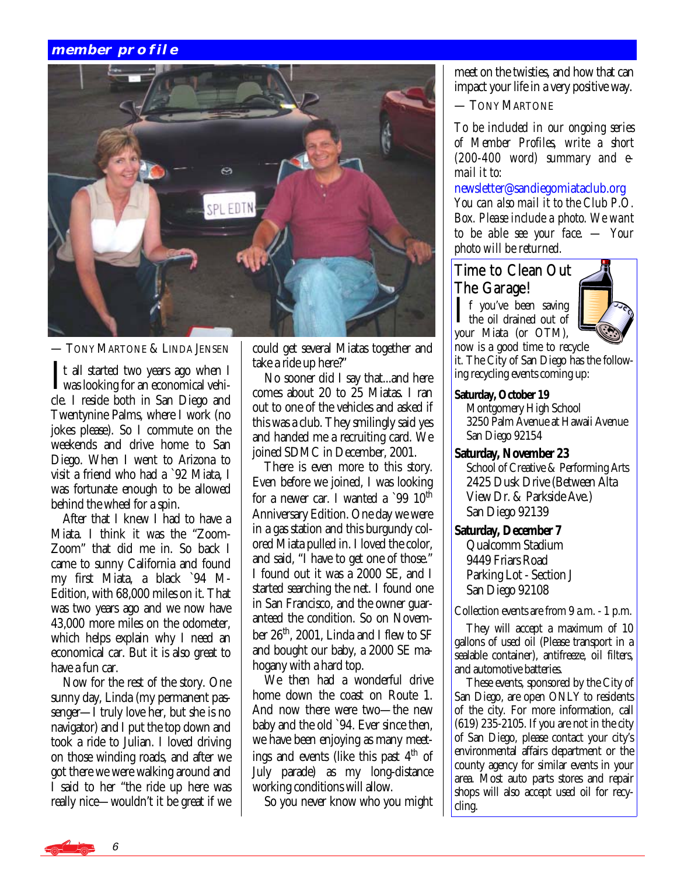# **member profile**



— TONY MARTONE & LINDA JENSEN

It all started two years ago when I<br>was looking for an economical vehi-<br>slands looking for an Eigen Disco and cle. I reside both in San Diego and Twentynine Palms, where I work (no jokes please). So I commute on the weekends and drive home to San Diego. When I went to Arizona to visit a friend who had a `92 Miata, I was fortunate enough to be allowed behind the wheel for a spin.

 After that I knew I had to have a Miata. I think it was the "Zoom-Zoom" that did me in. So back I came to sunny California and found my first Miata, a black `94 M-Edition, with 68,000 miles on it. That was two years ago and we now have 43,000 more miles on the odometer, which helps explain why I need an economical car. But it is also great to have a fun car.

 Now for the rest of the story. One sunny day, Linda (my permanent passenger—I truly love her, but she is no navigator) and I put the top down and took a ride to Julian. I loved driving on those winding roads, and after we got there we were walking around and I said to her "the ride up here was really nice—wouldn't it be great if we could get several Miatas together and take a ride up here?"

 No sooner did I say that...and here comes about 20 to 25 Miatas. I ran out to one of the vehicles and asked if this was a club. They smilingly said yes and handed me a recruiting card. We joined SDMC in December, 2001.

 There is even more to this story. Even before we joined, I was looking for a newer car. I wanted a  $9910<sup>th</sup>$ Anniversary Edition. One day we were in a gas station and this burgundy colored Miata pulled in. I loved the color, and said, "I have to get one of those." I found out it was a 2000 SE, and I started searching the net. I found one in San Francisco, and the owner guaranteed the condition. So on November  $26<sup>th</sup>$ , 2001, Linda and I flew to SF and bought our baby, a 2000 SE mahogany with a hard top.

 We then had a wonderful drive home down the coast on Route 1. And now there were two—the new baby and the old `94. Ever since then, we have been enjoying as many meetings and events (like this past  $4<sup>th</sup>$  of July parade) as my long-distance working conditions will allow.

So you never know who you might

meet on the twisties, and how that can impact your life in a very positive way.

— TONY MARTONE

*To be included in our ongoing series of Member Profiles, write a short (200-400 word) summary and email it to:* 

[newsletter@sandiegomiataclub.org](mailto:newsletter@sandiegomiataclub.org)  *You can also mail it to the Club P.O. Box. Please include a photo. We want to be able see your face. — Your photo will be returned.*

# Time to Clean Out The Garage!

 $\prod$  f you've been saving<br>the oil drained out of your Miata (or OTM),



now is a good time to recycle it. The City of San Diego has the following recycling events coming up:

#### **Saturday, October 19**

 Montgomery High School 3250 Palm Avenue at Hawaii Avenue San Diego 92154

#### **Saturday, November 23**

 School of Creative & Performing Arts 2425 Dusk Drive (Between Alta View Dr. & Parkside Ave.) San Diego 92139

#### **Saturday, December 7**

 Qualcomm Stadium 9449 Friars Road Parking Lot - Section J San Diego 92108

Collection events are from 9 a.m. - 1 p.m.

 They will accept a maximum of 10 gallons of used oil (Please transport in a sealable container), antifreeze, oil filters, and automotive batteries.

 These events, sponsored by the City of San Diego, are open ONLY to residents of the city. For more information, call (619) 235-2105. If you are not in the city of San Diego, please contact your city's environmental affairs department or the county agency for similar events in your area. Most auto parts stores and repair shops will also accept used oil for recycling.

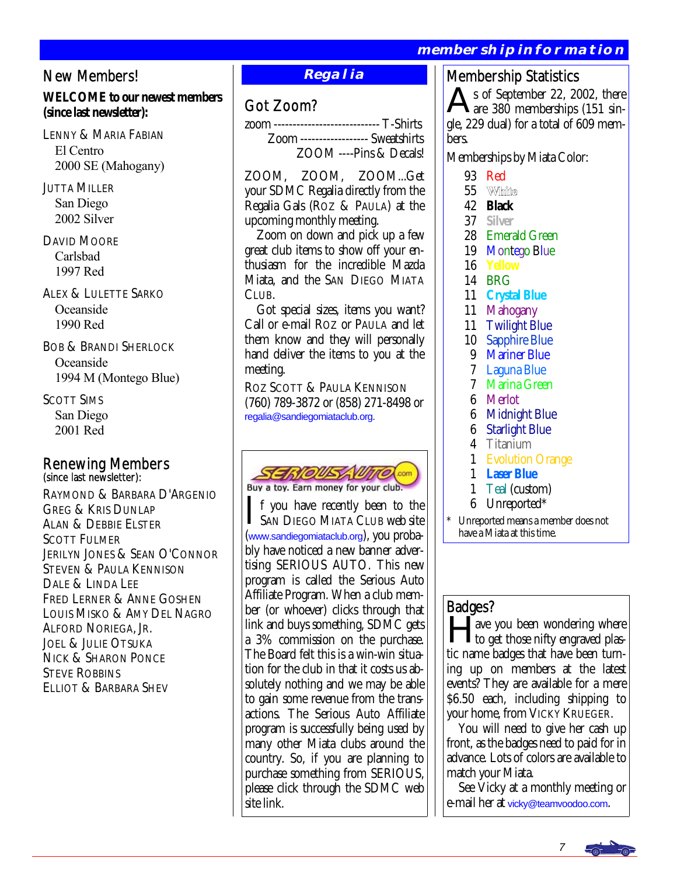# **membership information**

# New Members!

# **WELCOME to our newest members (since last newsletter):**

LENNY & MARIA FABIAN El Centro 2000 SE (Mahogany)

## JUTTA MILLER San Diego 2002 Silver

DAVID MOORE Carlsbad 1997 Red

ALEX & LULETTE SARKO Oceanside 1990 Red

BOB & BRANDI SHERLOCK Oceanside 1994 M (Montego Blue)

SCOTT SIMS San Diego 2001 Red

# Renewing Members<br>(since last newsletter):

RAYMOND & BARBARA D'ARGENIO GREG & KRIS DUNLAP ALAN & DEBBIE ELSTER SCOTT FULMER JERILYN JONES & SEAN O'CONNOR STEVEN & PAULA KENNISON DALE & LINDA LEE FRED LERNER & ANNE GOSHEN LOUIS MISKO & AMY DEL NAGRO ALFORD NORIEGA, JR. JOEL & JULIE OTSUKA NICK & SHARON PONCE STEVE ROBBINS ELLIOT & BARBARA SHEV

# **Regalia**

# Got Zoom?

zoom ---------------------------- T-Shirts Zoom ------------------ Sweatshirts ZOOM ----Pins & Decals!

ZOOM, ZOOM, ZOOM...Get your SDMC Regalia directly from the Regalia Gals (ROZ & PAULA) at the upcoming monthly meeting.

 Zoom on down and pick up a few great club items to show off your enthusiasm for the incredible Mazda Miata, and the SAN DIEGO MIATA CLUB.

 Got special sizes, items you want? Call or e-mail ROZ or PAULA and let them know and they will personally hand deliver the items to you at the meeting.

ROZ SCOTT & PAULA KENNISON (760) 789-3872 or (858) 271-8498 or [regalia@sandiegomiataclub.org.](mailto:regalia@sandiegomiataclub.org)



If you have recently been to the<br>SAN DIEGO MIATA CLUB web site ([www.sandiegomiataclub.org](http://www.sandiegomiataclub.org)), you probably have noticed a new banner advertising SERIOUS AUTO. This new program is called the Serious Auto Affiliate Program. When a club member (or whoever) clicks through that link and buys something, SDMC gets a 3% commission on the purchase. The Board felt this is a win-win situation for the club in that it costs us absolutely nothing and we may be able to gain some revenue from the transactions. The Serious Auto Affiliate program is successfully being used by many other Miata clubs around the country. So, if you are planning to purchase something from SERIOUS, please click through the SDMC web site link.

# Membership Statistics

s of September 22, 2002, there are 380 memberships (151 single, 229 dual) for a total of 609 members.

Memberships by Miata Color:

- 93 Red
- 55 White
- 42 **Black**
- 37 **Silver**
- 28 Emerald Green
- 19 Montego Blue
- 16 **Yellow**
- 14 BRG
- 11 **Crystal Blue**
- 11 Mahogany
- 11 Twilight Blue
- 10 Sapphire Blue
- 9 Mariner Blue
- 7 Laguna Blue
- 7 Marina Green
- 6 Merlot
- 6 Midnight Blue
- **Starlight Blue**
- 4 Titanium
- 1 Evolution Orange
- 1 **Laser Blue**
- 1 Teal (custom)
- 6 Unreported\*

Unreported means a member does not have a Miata at this time.

# Badges?

ave you been wondering where to get those nifty engraved plastic name badges that have been turning up on members at the latest events? They are available for a mere \$6.50 each, including shipping to your home, from VICKY KRUEGER.

 You will need to give her cash up front, as the badges need to paid for in advance. Lots of colors are available to match your Miata.

 See Vicky at a monthly meeting or e-mail her at [vicky@teamvoodoo.com](mailto:vicky@teamvoodoo.com).

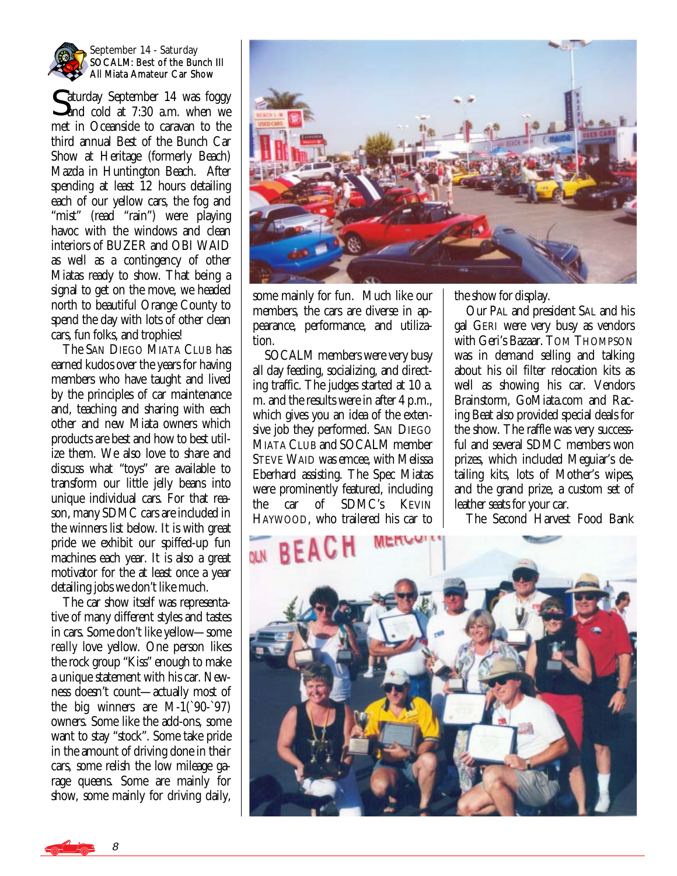

#### September 14 - Saturday SOCALM: Best of the Bunch III All Miata Amateur Car Show

Caturday September 14 was foggy **and cold at 7:30 a.m.** when we met in Oceanside to caravan to the third annual Best of the Bunch Car Show at Heritage (formerly Beach) Mazda in Huntington Beach. After spending at least 12 hours detailing each of our yellow cars, the fog and "mist" (read "rain") were playing havoc with the windows and clean interiors of BUZER and OBI WAID as well as a contingency of other Miatas ready to show. That being a signal to get on the move, we headed north to beautiful Orange County to spend the day with lots of other clean cars, fun folks, and trophies!

 The SAN DIEGO MIATA CLUB has earned kudos over the years for having members who have taught and lived by the principles of car maintenance and, teaching and sharing with each other and new Miata owners which products are best and how to best utilize them. We also love to share and discuss what "toys" are available to transform our little jelly beans into unique individual cars. For that reason, many SDMC cars are included in the winners list below. It is with great pride we exhibit our spiffed-up fun machines each year. It is also a great motivator for the at least once a year detailing jobs we don't like much.

 The car show itself was representative of many different styles and tastes in cars. Some don't like yellow—some *really* love yellow. One person likes the rock group "Kiss" enough to make a unique statement with his car. Newness doesn't count—actually most of the big winners are  $M-1$ ( $90-97$ ) owners. Some like the add-ons, some want to stay "stock". Some take pride in the amount of driving done in their cars, some relish the low mileage garage queens. Some are mainly for show, some mainly for driving daily,



some mainly for fun. Much like our members, the cars are diverse in appearance, performance, and utilization.

 SOCALM members were very busy all day feeding, socializing, and directing traffic. The judges started at 10 a. m. and the results were in after 4 p.m., which gives you an idea of the extensive job they performed. SAN DIEGO MIATA CLUB and SOCALM member STEVE WAID was emcee, with Melissa Eberhard assisting. The Spec Miatas were prominently featured, including the car of SDMC's KEVIN HAYWOOD, who trailered his car to

the show for display.

 Our PAL and president SAL and his gal GERI were very busy as vendors with Geri's Bazaar. TOM THOMPSON was in demand selling and talking about his oil filter relocation kits as well as showing his car. Vendors Brainstorm, GoMiata.com and Racing Beat also provided special deals for the show. The raffle was very successful and several SDMC members won prizes, which included Meguiar's detailing kits, lots of Mother's wipes, and the grand prize, a custom set of leather seats for your car.

The Second Harvest Food Bank



8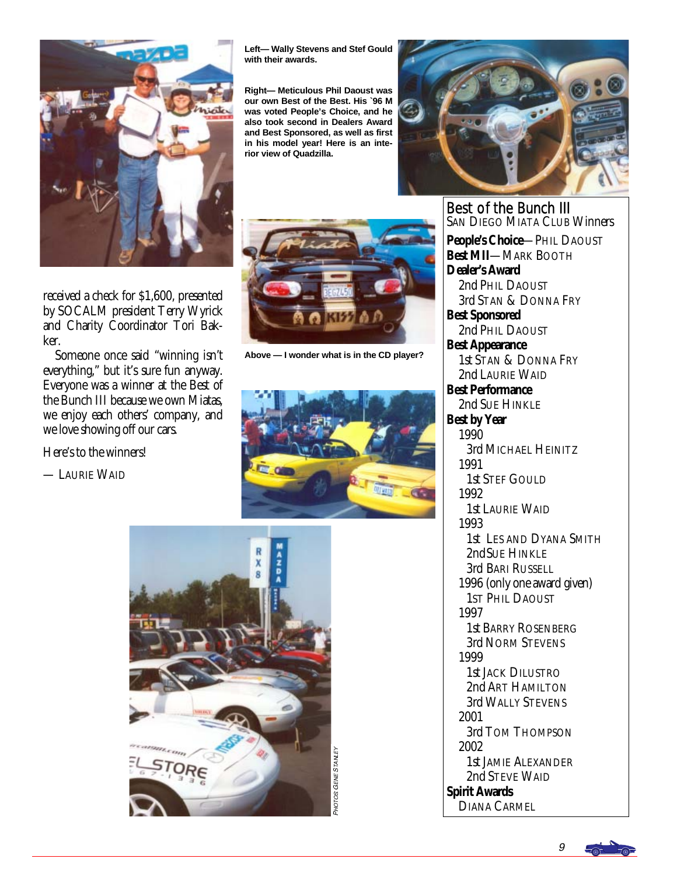

received a check for \$1,600, presented by SOCALM president Terry Wyrick and Charity Coordinator Tori Bakker.

 Someone once said "winning isn't everything," but it's sure fun anyway. Everyone was a winner at the Best of the Bunch III because we own Miatas, we enjoy each others' company, and we love showing off our cars.

Here's to the winners!

— LAURIE WAID

**Left— Wally Stevens and Stef Gould with their awards.** 

**Right— Meticulous Phil Daoust was our own Best of the Best. His `96 M was voted People's Choice, and he also took second in Dealers Award and Best Sponsored, as well as first in his model year! Here is an interior view of Quadzilla.** 



**Above — I wonder what is in the CD player?** 



AMIFY





**Best of the Bunch III**<br>San Diego Miata Club Winners **People's Choice**—PHIL DAOUST **Best MII**—MARK BOOTH **Dealer's Award** 2nd PHIL DAOUST 3rd STAN & DONNA FRY **Best Sponsored** 2nd PHIL DAOUST **Best Appearance** 1st STAN & DONNA FRY 2nd LAURIE WAID **Best Performance** 2nd SUE HINKLE **Best by Year** 1990 3rd MICHAEL HEINITZ 1991 1st STEF GOULD 1992 1st LAURIE WAID 1993 1st LES AND DYANA SMITH 2nd SUE HINKLE 3rd BARI RUSSELL 1996 (only one award given) 1ST PHIL DAOUST 1997 1st BARRY ROSENBERG 3rd NORM STEVENS 1999 1st JACK DILUSTRO 2nd ART HAMILTON 3rd WALLY STEVENS 2001 3rd TOM THOMPSON 2002 1st JAMIE ALEXANDER 2nd STEVE WAID **Spirit Awards** DIANA CARMEL

9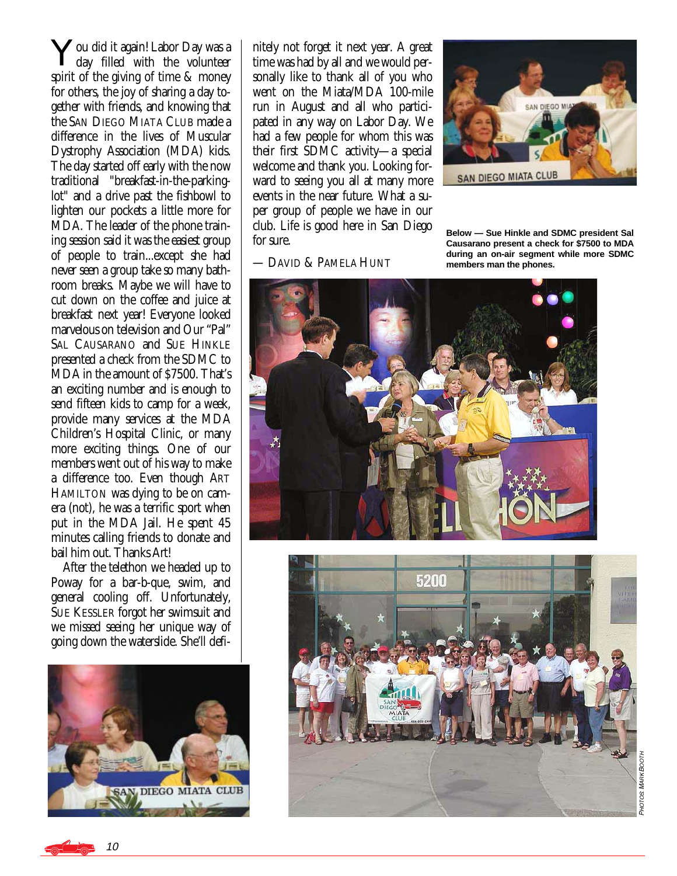You did it again! Labor Day was a day filled with the volunteer spirit of the giving of time & money for others, the joy of sharing a day together with friends, and knowing that the SAN DIEGO MIATA CLUB made a difference in the lives of Muscular Dystrophy Association (MDA) kids. The day started off early with the now traditional "breakfast-in-the-parkinglot" and a drive past the fishbowl to lighten our pockets a little more for MDA. The leader of the phone training session said it was the easiest group of people to train...except she had never seen a group take so many bathroom breaks. Maybe we will have to cut down on the coffee and juice at breakfast next year! Everyone looked marvelous on television and Our "Pal" SAL CAUSARANO and SUE HINKLE presented a check from the SDMC to MDA in the amount of \$7500. That's an exciting number and is enough to send fifteen kids to camp for a week, provide many services at the MDA Children's Hospital Clinic, or many more exciting things. One of our members went out of his way to make a difference too. Even though ART HAMILTON was dying to be on camera (not), he was a terrific sport when put in the MDA Jail. He spent 45 minutes calling friends to donate and bail him out. Thanks Art!

 After the telethon we headed up to Poway for a bar-b-que, swim, and general cooling off. Unfortunately, SUE KESSLER forgot her swimsuit and we missed seeing her unique way of going down the waterslide. She'll defi-



nitely not forget it next year. A great time was had by all and we would personally like to thank all of you who went on the Miata/MDA 100-mile run in August and all who participated in any way on Labor Day. We had a few people for whom this was their first SDMC activity—a special welcome and thank you. Looking forward to seeing you all at many more events in the near future. What a super group of people we have in our club. Life is good here in San Diego for sure.

— DAVID & PAMELA HUNT



**Below — Sue Hinkle and SDMC president Sal Causarano present a check for \$7500 to MDA during an on-air segment while more SDMC members man the phones.** 





PHOT **OS MARK BOOT** r

10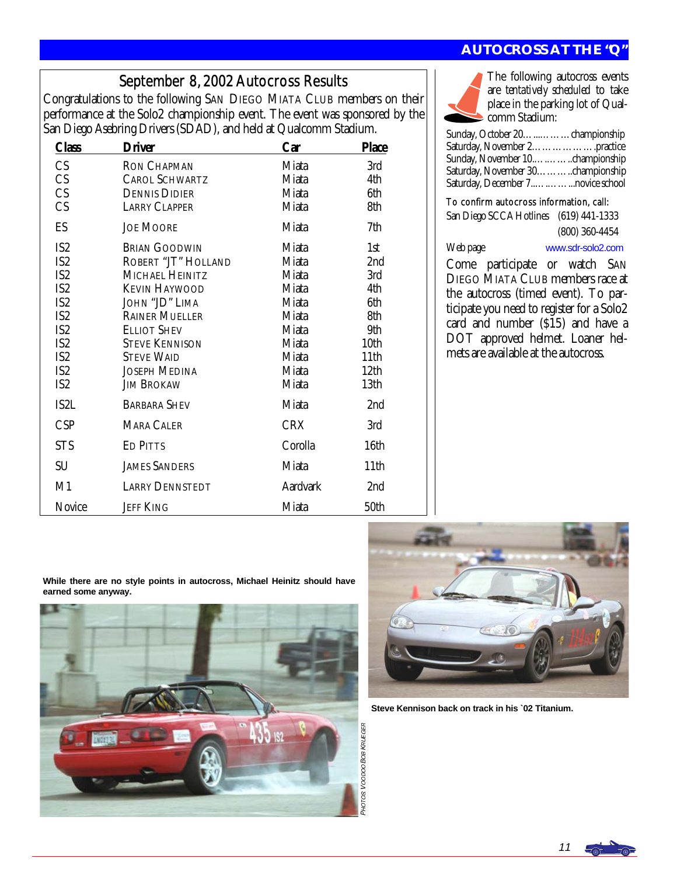# September 8, 2002 Autocross Results

Congratulations to the following SAN DIEGO MIATA CLUB members on their performance at the Solo2 championship event. The event was sponsored by the San Diego Asebring Drivers (SDAD), and held at Qualcomm Stadium.

| <b>Class</b>    | <b>Driver</b>          | Car        | <b>Place</b>    |
|-----------------|------------------------|------------|-----------------|
| CS              | <b>RON CHAPMAN</b>     | Miata      | 3rd             |
| CS              | <b>CAROL SCHWARTZ</b>  | Miata      | 4th             |
| <b>CS</b>       | <b>DENNIS DIDIER</b>   | Miata      | 6th             |
| CS              | <b>LARRY CLAPPER</b>   | Miata      | 8th             |
| ES              | <b>JOE MOORE</b>       | Miata      | 7th             |
| IS <sub>2</sub> | <b>BRIAN GOODWIN</b>   | Miata      | 1st             |
| IS <sub>2</sub> | ROBERT "JT" HOLLAND    | Miata      | 2nd             |
| IS <sub>2</sub> | MICHAEL HEINITZ        | Miata      | 3rd             |
| IS <sub>2</sub> | <b>KEVIN HAYWOOD</b>   | Miata      | 4th             |
| IS <sub>2</sub> | JOHN "JD" LIMA         | Miata      | 6th             |
| IS <sub>2</sub> | <b>RAINER MUELLER</b>  | Miata      | 8th             |
| IS <sub>2</sub> | <b>ELLIOT SHEV</b>     | Miata      | 9th             |
| IS <sub>2</sub> | <b>STEVE KENNISON</b>  | Miata      | 10th            |
| IS <sub>2</sub> | <b>STEVE WAID</b>      | Miata      | 11th            |
| IS <sub>2</sub> | <b>JOSEPH MEDINA</b>   | Miata      | 12th            |
| IS <sub>2</sub> | <b>JIM BROKAW</b>      | Miata      | 13th            |
| IS2L            | <b>BARBARA SHEV</b>    | Miata      | 2 <sub>nd</sub> |
| <b>CSP</b>      | MARA CALER             | <b>CRX</b> | 3rd             |
| <b>STS</b>      | <b>ED PITTS</b>        | Corolla    | 16th            |
| <b>SU</b>       | <b>JAMES SANDERS</b>   | Miata      | 11th            |
| M1              | <b>LARRY DENNSTEDT</b> | Aardvark   | 2nd             |
| Novice          | <b>JEFF KING</b>       | Miata      | 50th            |

# **AUTOCROSS AT THE "Q"**



The following autocross events are *tentatively scheduled* to take place in the parking lot of Qualcomm Stadium:

| Sunday, October 20. championship  |  |
|-----------------------------------|--|
| Saturday, November 2practice      |  |
|                                   |  |
| Saturday, November 30championship |  |
|                                   |  |

To confirm autocross information, call:

San Diego SCCA Hotlines (619) 441-1333 (800) 360-4454

Web page [www.sdr-solo2.com](http://www.sdr-solo2.com)

Come participate or watch SAN DIEGO MIATA CLUB members race at the autocross (timed event). To participate you need to register for a Solo2 card and number (\$15) and have a DOT approved helmet. Loaner helmets are available at the autocross.

**While there are no style points in autocross, Michael Heinitz should have earned some anyway.** 





**Steve Kennison back on track in his `02 Titanium.** 

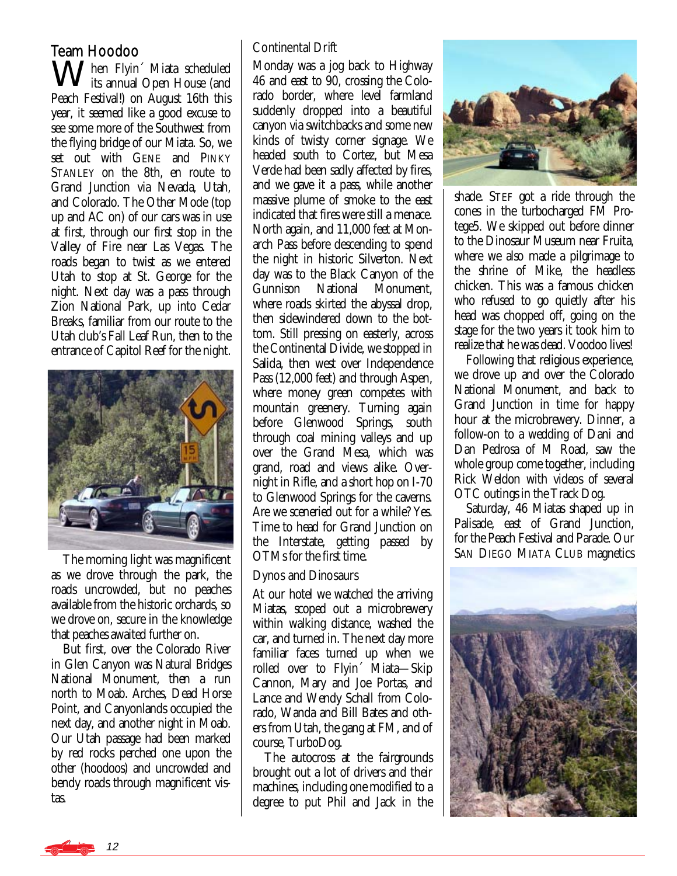# Team Hoodoo

 $\Lambda$  hen Flyin´ Miata scheduled **V** its annual Open House (and Peach Festival!) on August 16th this year, it seemed like a good excuse to see some more of the Southwest from the flying bridge of our Miata. So, we set out with GENE and PINKY STANLEY on the 8th, en route to Grand Junction via Nevada, Utah, and Colorado. The Other Mode (top up and AC on) of our cars was in use at first, through our first stop in the Valley of Fire near Las Vegas. The roads began to twist as we entered Utah to stop at St. George for the night. Next day was a pass through Zion National Park, up into Cedar Breaks, familiar from our route to the Utah club's Fall Leaf Run, then to the entrance of Capitol Reef for the night.



 The morning light was magnificent as we drove through the park, the roads uncrowded, but no peaches available from the historic orchards, so we drove on, secure in the knowledge that peaches awaited further on.

 But first, over the Colorado River in Glen Canyon was Natural Bridges National Monument, then a run north to Moab. Arches, Dead Horse Point, and Canyonlands occupied the next day, and another night in Moab. Our Utah passage had been marked by red rocks perched one upon the other (hoodoos) and uncrowded and bendy roads through magnificent vistas.

## Continental Drift

Monday was a jog back to Highway 46 and east to 90, crossing the Colorado border, where level farmland suddenly dropped into a beautiful canyon via switchbacks and some new kinds of twisty corner signage. We headed south to Cortez, but Mesa Verde had been sadly affected by fires, and we gave it a pass, while another massive plume of smoke to the east indicated that fires were still a menace. North again, and 11,000 feet at Monarch Pass before descending to spend the night in historic Silverton. Next day was to the Black Canyon of the Gunnison National Monument, where roads skirted the abyssal drop, then sidewindered down to the bottom. Still pressing on easterly, across the Continental Divide, we stopped in Salida, then west over Independence Pass (12,000 feet) and through Aspen, where money green competes with mountain greenery. Turning again before Glenwood Springs, south through coal mining valleys and up over the Grand Mesa, which was grand, road and views alike. Overnight in Rifle, and a short hop on I-70 to Glenwood Springs for the caverns. Are we sceneried out for a while? Yes. Time to head for Grand Junction on the Interstate, getting passed by OTMs for the first time.

#### Dynos and Dinosaurs

At our hotel we watched the arriving Miatas, scoped out a microbrewery within walking distance, washed the car, and turned in. The next day more familiar faces turned up when we rolled over to Flyin´ Miata—Skip Cannon, Mary and Joe Portas, and Lance and Wendy Schall from Colorado, Wanda and Bill Bates and others from Utah, the gang at FM, and of course, TurboDog.

 The autocross at the fairgrounds brought out a lot of drivers and their machines, including one modified to a degree to put Phil and Jack in the



shade. STEF got a ride through the cones in the turbocharged FM Protege5. We skipped out before dinner to the Dinosaur Museum near Fruita, where we also made a pilgrimage to the shrine of Mike, the headless chicken. This was a famous chicken who refused to go quietly after his head was chopped off, going on the stage for the two years it took him to realize that he was dead. Voodoo lives!

 Following that religious experience, we drove up and over the Colorado National Monument, and back to Grand Junction in time for happy hour at the microbrewery. Dinner, a follow-on to a wedding of Dani and Dan Pedrosa of M Road, saw the whole group come together, including Rick Weldon with videos of several OTC outings in the Track Dog.

 Saturday, 46 Miatas shaped up in Palisade, east of Grand Junction, for the Peach Festival and Parade. Our SAN DIEGO MIATA CLUB magnetics



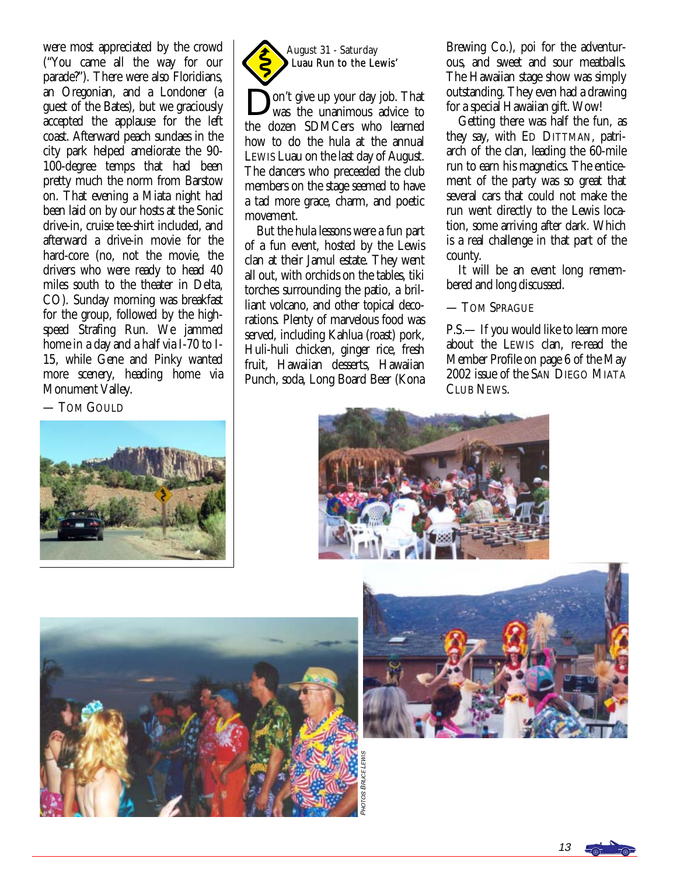were most appreciated by the crowd ("You came all the way for our parade?"). There were also Floridians, an Oregonian, and a Londoner (a guest of the Bates), but we graciously accepted the applause for the left coast. Afterward peach sundaes in the city park helped ameliorate the 90- 100-degree temps that had been pretty much the norm from Barstow on. That evening a Miata night had been laid on by our hosts at the Sonic drive-in, cruise tee-shirt included, and afterward a drive-in movie for the hard-core (no, not the movie, the drivers who were ready to head 40 miles south to the theater in Delta, CO). Sunday morning was breakfast for the group, followed by the highspeed Strafing Run. We jammed home in a day and a half via I-70 to I-15, while Gene and Pinky wanted more scenery, heading home via Monument Valley.

— TOM GOULD





on't give up your day job. That was the unanimous advice to the dozen SDMCers who learned how to do the hula at the annual LEWIS Luau on the last day of August. The dancers who preceeded the club members on the stage seemed to have a tad more grace, charm, and poetic movement.

 But the hula lessons were a fun part of a fun event, hosted by the Lewis clan at their Jamul estate. They went all out, with orchids on the tables, tiki torches surrounding the patio, a brilliant volcano, and other topical decorations. Plenty of marvelous food was served, including Kahlua (roast) pork, Huli-huli chicken, ginger rice, fresh fruit, Hawaiian desserts, Hawaiian Punch, soda, Long Board Beer (Kona

PHOT

OS BRUCE LEWIS

Brewing Co.), poi for the adventurous, and sweet and sour meatballs. The Hawaiian stage show was simply outstanding. They even had a drawing for a special Hawaiian gift. Wow!

 Getting there was half the fun, as they say, with ED DITTMAN, patriarch of the clan, leading the 60-mile run to earn his magnetics. The enticement of the party was so great that several cars that could not make the run went directly to the Lewis location, some arriving after dark. Which is a real challenge in that part of the county.

 It will be an event long remembered and long discussed.

— TOM SPRAGUE

P.S.— If you would like to learn more about the LEWIS clan, re-read the Member Profile on page 6 of the May 2002 issue of the SAN DIEGO MIATA CLUB NEWS.







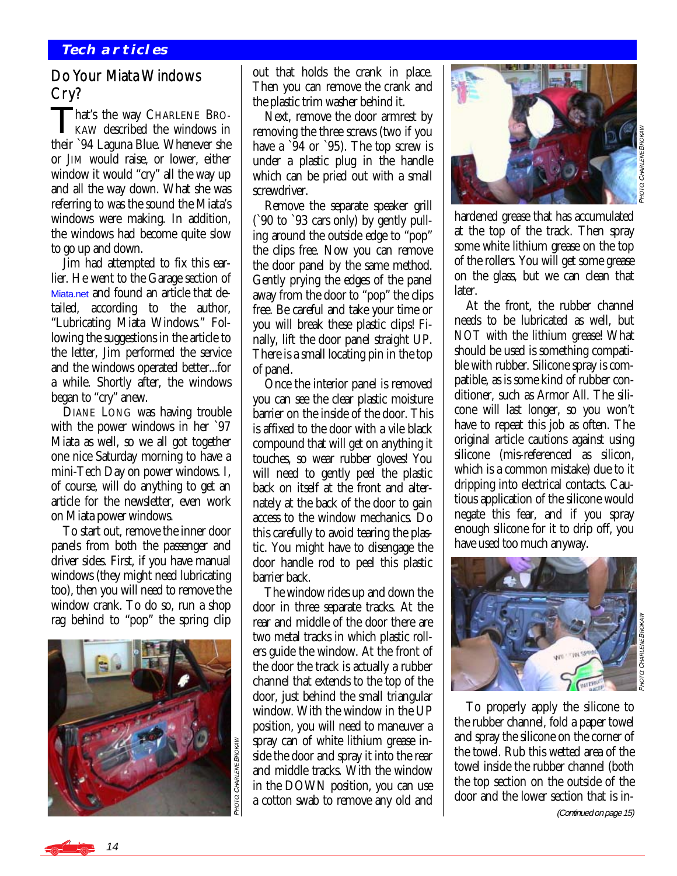# Do Your Miata Windows Cry?

That's the way CHARLENE BRO-KAW described the windows in their `94 Laguna Blue. Whenever she or JIM would raise, or lower, either window it would "cry" all the way up and all the way down. What she was referring to was the sound the Miata's windows were making. In addition, the windows had become quite slow to go up and down.

 Jim had attempted to fix this earlier. He went to the Garage section of [Miata.net](http://www.miata.net) and found an article that detailed, according to the author, "Lubricating Miata Windows." Following the suggestions in the article to the letter, Jim performed the service and the windows operated better...for a while. Shortly after, the windows began to "cry" anew.

 DIANE LONG was having trouble with the power windows in her `97 Miata as well, so we all got together one nice Saturday morning to have a mini-Tech Day on power windows. I, of course, will do anything to get an article for the newsletter, even work on Miata power windows.

 To start out, remove the inner door panels from both the passenger and driver sides. First, if you have manual windows (they might need lubricating too), then you will need to remove the window crank. To do so, run a shop rag behind to "pop" the spring clip



14

out that holds the crank in place. Then you can remove the crank and the plastic trim washer behind it.

 Next, remove the door armrest by removing the three screws (two if you have a `94 or `95). The top screw is under a plastic plug in the handle which can be pried out with a small screwdriver.

 Remove the separate speaker grill (`90 to `93 cars only) by gently pulling around the outside edge to "pop" the clips free. Now you can remove the door panel by the same method. Gently prying the edges of the panel away from the door to "pop" the clips free. Be careful and take your time or you will break these plastic clips! Finally, lift the door panel straight UP. There is a small locating pin in the top of panel.

 Once the interior panel is removed you can see the clear plastic moisture barrier on the inside of the door. This is affixed to the door with a vile black compound that will get on anything it touches, so wear rubber gloves! You will need to gently peel the plastic back on itself at the front and alternately at the back of the door to gain access to the window mechanics. Do this carefully to avoid tearing the plastic. You might have to disengage the door handle rod to peel this plastic barrier back.

 The window rides up and down the door in three separate tracks. At the rear and middle of the door there are two metal tracks in which plastic rollers guide the window. At the front of the door the track is actually a rubber channel that extends to the top of the door, just behind the small triangular window. With the window in the UP position, you will need to maneuver a spray can of white lithium grease inside the door and spray it into the rear and middle tracks. With the window in the DOWN position, you can use a cotton swab to remove any old and



hardened grease that has accumulated at the top of the track. Then spray some white lithium grease on the top of the rollers. You will get some grease on the glass, but we can clean that later.

 At the front, the rubber channel needs to be lubricated as well, but *NOT* with the lithium grease! What should be used is something compatible with rubber. Silicone spray is compatible, as is some kind of rubber conditioner, such as Armor All. The silicone will last longer, so you won't have to repeat this job as often. The original article cautions against using silicone (mis-referenced as silicon, which is a common mistake) due to it dripping into electrical contacts. Cautious application of the silicone would negate this fear, and if you spray enough silicone for it to drip off, you have used too much anyway.



 To properly apply the silicone to the rubber channel, fold a paper towel and spray the silicone on the corner of the towel. Rub this wetted area of the towel inside the rubber channel (both the top section on the outside of the door and the lower section that is in- (Continued on page 15)